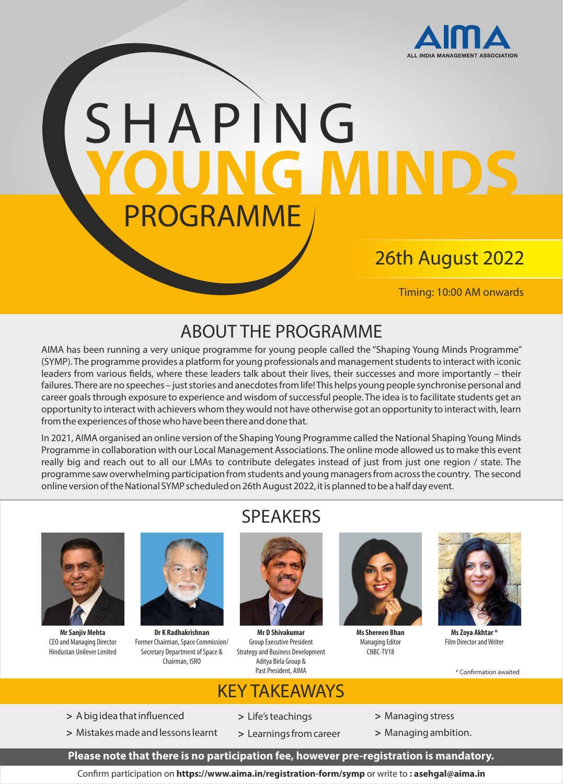

# SHAP ING **YOUNG MINDS**  PROGRAMME

## 26th August 2022

Timing: 10:00 AM onwards

## ABOUT THE PROGRAMME

AIMA has been running a very unique programme for young people called the "Shaping Young Minds Programme" (SYMP). The programme provides a platform for young professionals and management students to interact with iconic leaders from various fields, where these leaders talk about their lives, their successes and more importantly – their failures. There are no speeches – just stories and anecdotes from life! This helps young people synchronise personal and career goals through exposure to experience and wisdom of successful people. The idea is to facilitate students get an opportunity to interact with achievers whom they would not have otherwise got an opportunity to interact with, learn from the experiences of those who have been there and done that.

In 2021, AIMA organised an online version of the Shaping Young Programme called the National Shaping Young Minds Programme in collaboration with our Local Management Associations. The online mode allowed us to make this event really big and reach out to all our LMAs to contribute delegates instead of just from just one region / state. The programme saw overwhelming participation from students and young managers from across the country. The second online version of the National SYMP scheduled on 26th August 2022, it is planned to be a half day event.



**Mr Sanjiv Mehta** CEO and Managing Director Hindustan Unilever Limited



**Dr K Radhakrishnan** Former Chairman, Space Commission/ Secretary Department of Space & Chairman, ISRO

## SPEAKERS



**Mr D Shivakumar** Group Executive President Strategy and Business Development Aditya Birla Group & Past President, AIMA



**Ms Shereen Bhan** Managing Editor CNBC-TV18



**Ms Zoya Akhtar \*** Film Director and Writer

\* Confirmation awaited

#### KEY TAKEAWAYS

- > A big idea that influenced
- **>** Mistakes made and lessons learnt
- **>** Life's teachings
- **>** Learnings from career
- **>** Managing stress
- **>** Managing ambition.

**Please note that there is no participation fee, however pre-registration is mandatory.** 

Conrm participation on **https://www.aima.in/registration-form/symp** or write to **: asehgal@aima.in**